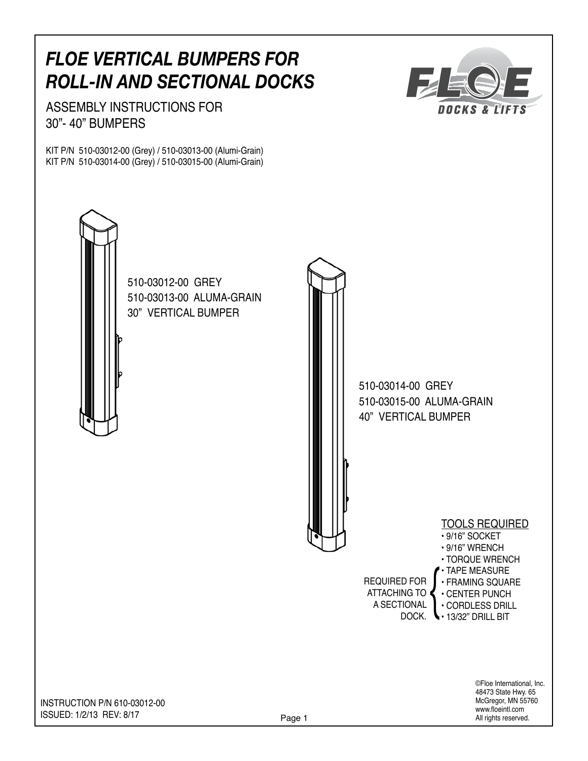## *floe vertical bumpers for roll-in and sectional docks*

ASSEMBLY INSTRUCTIONS for 30"- 40" bumpers

KIT P/N 510-03012-00 (Grey) / 510-03013-00 (Alumi-Grain) KIT P/N 510-03014-00 (Grey) / 510-03015-00 (Alumi-Grain)



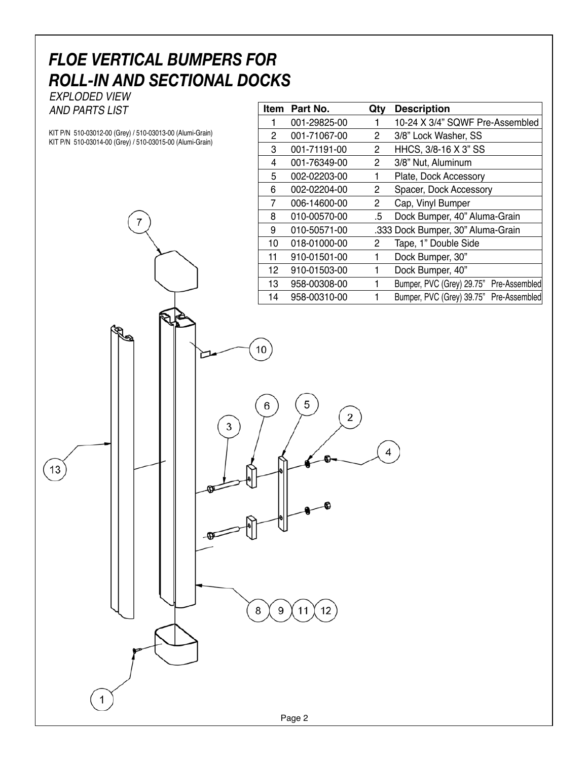## *floe vertical bumpers for roll-in and sectional docks*

exploded view and parts list

 $13$ 

 $\mathbf{1}$ 

KIT P/N 510-03012-00 (Grey) / 510-03013-00 (Alumi-Grain) KIT P/N 510-03014-00 (Grey) / 510-03015-00 (Alumi-Grain)

7

| Item            | Part No.     | Qty | <b>Description</b>                      |
|-----------------|--------------|-----|-----------------------------------------|
| 1               | 001-29825-00 |     | 10-24 X 3/4" SQWF Pre-Assembled         |
| 2               | 001-71067-00 | 2   | 3/8" Lock Washer, SS                    |
| 3               | 001-71191-00 | 2   | HHCS, 3/8-16 X 3" SS                    |
| 4               | 001-76349-00 | 2   | 3/8" Nut, Aluminum                      |
| 5               | 002-02203-00 | 1   | Plate, Dock Accessory                   |
| 6               | 002-02204-00 | 2   | Spacer, Dock Accessory                  |
| 7               | 006-14600-00 | 2   | Cap, Vinyl Bumper                       |
| 8               | 010-00570-00 | .5  | Dock Bumper, 40" Aluma-Grain            |
| 9               | 010-50571-00 |     | .333 Dock Bumper, 30" Aluma-Grain       |
| 10              | 018-01000-00 | 2   | Tape, 1" Double Side                    |
| 11              | 910-01501-00 |     | Dock Bumper, 30"                        |
| 12 <sup>2</sup> | 910-01503-00 | 1   | Dock Bumper, 40"                        |
| 13              | 958-00308-00 |     | Bumper, PVC (Grey) 29.75" Pre-Assembled |
| 14              | 958-00310-00 |     | Bumper, PVC (Grey) 39.75" Pre-Assembled |



 $10$ 

6

 $\bf8$ 

 $\boldsymbol{9}$ 

 $11$ 

 $12$ 

 $\mathbf 5$ 

 $\mathbf 2$ 

 $\overline{4}$ 

⋍

3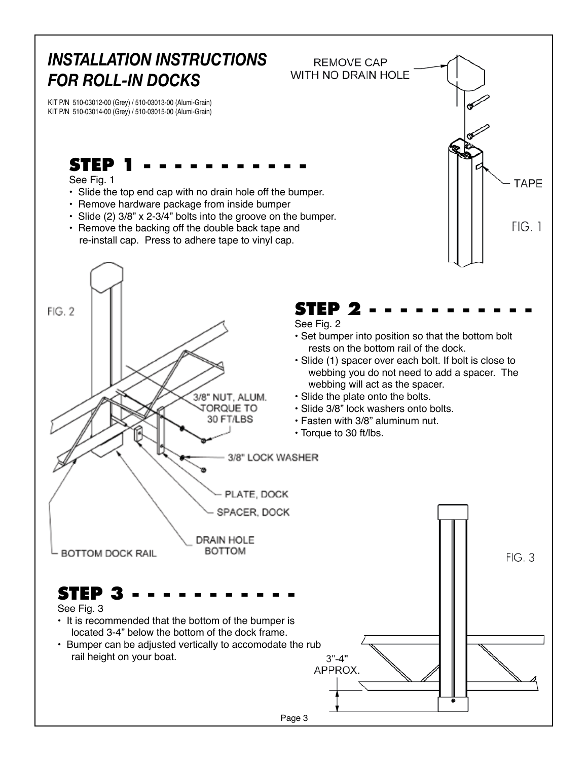